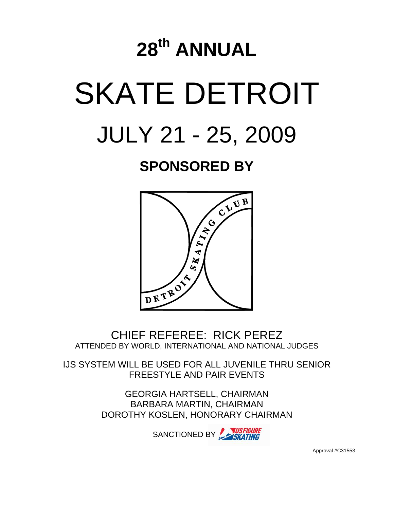# **28th ANNUAL**  SKATE DETROIT JULY 21 - 25, 2009

# **SPONSORED BY**



CHIEF REFEREE: RICK PEREZ ATTENDED BY WORLD, INTERNATIONAL AND NATIONAL JUDGES

IJS SYSTEM WILL BE USED FOR ALL JUVENILE THRU SENIOR FREESTYLE AND PAIR EVENTS

> GEORGIA HARTSELL, CHAIRMAN BARBARA MARTIN, CHAIRMAN DOROTHY KOSLEN, HONORARY CHAIRMAN

> > SANCTIONED BY SKATING

Approval #C31553.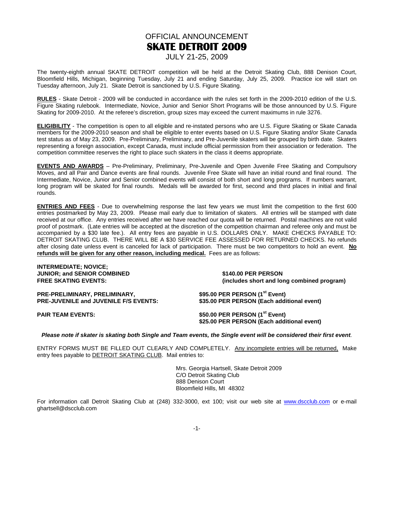# OFFICIAL ANNOUNCEMENT **SKATE DETROIT 2009**

## JULY 21-25, 2009

The twenty-eighth annual SKATE DETROIT competition will be held at the Detroit Skating Club, 888 Denison Court, Bloomfield Hills, Michigan, beginning Tuesday, July 21 and ending Saturday, July 25, 2009. Practice ice will start on Tuesday afternoon, July 21. Skate Detroit is sanctioned by U.S. Figure Skating.

**RULES** - Skate Detroit - 2009 will be conducted in accordance with the rules set forth in the 2009-2010 edition of the U.S. Figure Skating rulebook. Intermediate, Novice, Junior and Senior Short Programs will be those announced by U.S. Figure Skating for 2009-2010. At the referee's discretion, group sizes may exceed the current maximums in rule 3276.

**ELIGIBILITY** - The competition is open to all eligible and re-instated persons who are U.S. Figure Skating or Skate Canada members for the 2009-2010 season and shall be eligible to enter events based on U.S. Figure Skating and/or Skate Canada test status as of May 23, 2009. Pre-Preliminary, Preliminary, and Pre-Juvenile skaters will be grouped by birth date. Skaters representing a foreign association, except Canada, must include official permission from their association or federation. The competition committee reserves the right to place such skaters in the class it deems appropriate.

**EVENTS AND AWARDS** – Pre-Preliminary, Preliminary, Pre-Juvenile and Open Juvenile Free Skating and Compulsory Moves, and all Pair and Dance events are final rounds. Juvenile Free Skate will have an initial round and final round. The Intermediate, Novice, Junior and Senior combined events will consist of both short and long programs. If numbers warrant, long program will be skated for final rounds. Medals will be awarded for first, second and third places in initial and final rounds.

**ENTRIES AND FEES** - Due to overwhelming response the last few years we must limit the competition to the first 600 entries postmarked by May 23, 2009. Please mail early due to limitation of skaters. All entries will be stamped with date received at our office. Any entries received after we have reached our quota will be returned. Postal machines are not valid proof of postmark. (Late entries will be accepted at the discretion of the competition chairman and referee only and must be accompanied by a \$30 late fee.). All entry fees are payable in U.S. DOLLARS ONLY. MAKE CHECKS PAYABLE TO: DETROIT SKATING CLUB. THERE WILL BE A \$30 SERVICE FEE ASSESSED FOR RETURNED CHECKS. No refunds after closing date unless event is canceled for lack of participation. There must be two competitors to hold an event. **No refunds will be given for any other reason, including medical.** Fees are as follows:

| <b>INTERMEDIATE; NOVICE;</b>                 |                                                                                          |
|----------------------------------------------|------------------------------------------------------------------------------------------|
| <b>JUNIOR: and SENIOR COMBINED</b>           | \$140.00 PER PERSON                                                                      |
| <b>FREE SKATING EVENTS:</b>                  | (includes short and long combined program)                                               |
| PRE-PRELIMINARY, PRELIMINARY,                | \$95.00 PER PERSON $(1st Event)$                                                         |
| <b>PRE-JUVENILE and JUVENILE F/S EVENTS:</b> | \$35.00 PER PERSON (Each additional event)                                               |
| <b>PAIR TEAM EVENTS:</b>                     | \$50.00 PER PERSON (1 <sup>st</sup> Event)<br>\$25.00 PER PERSON (Each additional event) |
|                                              |                                                                                          |

#### **Please note if skater is skating both Single and Team events, the Single event will be considered their first event**.

ENTRY FORMS MUST BE FILLED OUT CLEARLY AND COMPLETELY. Any incomplete entries will be returned, Make entry fees payable to **DETROIT SKATING CLUB**. Mail entries to:

> Mrs. Georgia Hartsell, Skate Detroit 2009 C/O Detroit Skating Club 888 Denison Court Bloomfield Hills, MI 48302

For information call Detroit Skating Club at (248) 332-3000, ext 100; visit our web site at www.dscclub.com or e-mail ghartsell@dscclub.com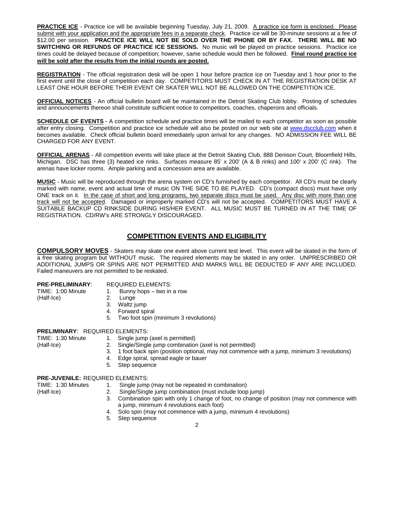**PRACTICE ICE** - Practice ice will be available beginning Tuesday, July 21, 2009. A practice ice form is enclosed. Please submit with your application and the appropriate fees in a separate check. Practice ice will be 30-minute sessions at a fee of \$12.00 per session. **PRACTICE ICE WILL NOT BE SOLD OVER THE PHONE OR BY FAX. THERE WILL BE NO SWITCHING OR REFUNDS OF PRACTICE ICE SESSIONS.** No music will be played on practice sessions. Practice ice times could be delayed because of competition; however, same schedule would then be followed. **Final round practice ice will be sold after the results from the initial rounds are posted.**

**REGISTRATION** - The official registration desk will be open 1 hour before practice ice on Tuesday and 1 hour prior to the first event until the close of competition each day. COMPETITORS MUST CHECK IN AT THE REGISTRATION DESK AT LEAST ONE HOUR BEFORE THEIR EVENT OR SKATER WILL NOT BE ALLOWED ON THE COMPETITION ICE.

**OFFICIAL NOTICES** - An official bulletin board will be maintained in the Detroit Skating Club lobby. Posting of schedules and announcements thereon shall constitute sufficient notice to competitors, coaches, chaperons and officials.

**SCHEDULE OF EVENTS** - A competition schedule and practice times will be mailed to each competitor as soon as possible after entry closing. Competition and practice ice schedule will also be posted on our web site at www.dscclub.com when it becomes available. Check official bulletin board immediately upon arrival for any changes. NO ADMISSION FEE WILL BE CHARGED FOR ANY EVENT.

**OFFICIAL ARENAS** - All competition events will take place at the Detroit Skating Club, 888 Denison Court, Bloomfield Hills, Michigan. DSC has three (3) heated ice rinks. Surfaces measure 85' x 200' (A & B rinks) and 100' x 200' (C rink). The arenas have locker rooms. Ample parking and a concession area are available.

**MUSIC** - Music will be reproduced through the arena system on CD's furnished by each competitor. All CD's must be clearly marked with name, event and actual time of music ON THE SIDE TO BE PLAYED. CD's (compact discs) must have only ONE track on it. In the case of short and long programs, two separate discs must be used. Any disc with more than one track will not be accepted. Damaged or improperly marked CD's will not be accepted. COMPETITORS MUST HAVE A SUITABLE BACKUP CD RINKSIDE DURING HIS/HER EVENT. ALL MUSIC MUST BE TURNED IN AT THE TIME OF REGISTRATION. CD/RW's ARE STRONGLY DISCOURAGED.

## **COMPETITION EVENTS AND ELIGIBILITY**

**COMPULSORY MOVES** - Skaters may skate one event above current test level. This event will be skated in the form of a free skating program but WITHOUT music. The required elements may be skated in any order. UNPRESCRIBED OR ADDITIONAL JUMPS OR SPINS ARE NOT PERMITTED AND MARKS WILL BE DEDUCTED IF ANY ARE INCLUDED. Failed maneuvers are not permitted to be reskated.

# **PRE-PRELIMINARY:** REQUIRED ELEMENTS:<br>TIME: 1:00 Minute 1. Bunny hops – two in

- 1. Bunny hops two in a row
- (Half-Ice) 2. Lunge
	- 3. Waltz jump
	- 4. Forward spiral
	- 5. Two foot spin (minimum 3 revolutions)

#### **PRELIMINARY**: REQUIRED ELEMENTS:

TIME: 1:30 Minute 1. Single jump (axel is permitted)

- (Half-Ice) 2. Single/Single jump combination (axel is not permitted)
	- 3. 1 foot back spin (position optional, may not commence with a jump, minimum 3 revolutions)
	- 4. Edge spiral, spread eagle or bauer
	- 5. Step sequence

#### **PRE-JUVENILE:** REQUIRED ELEMENTS:

- TIME: 1:30 Minutes 1. Single jump (may not be repeated in combination)
- (Half-Ice) 2. Single/Single jump combination (must include loop jump)
	- 3. Combination spin with only 1 change of foot, no change of position (may not commence with a jump, minimum 4 revolutions each foot)
		- 4. Solo spin (may not commence with a jump, minimum 4 revolutions)
		- 5. Step sequence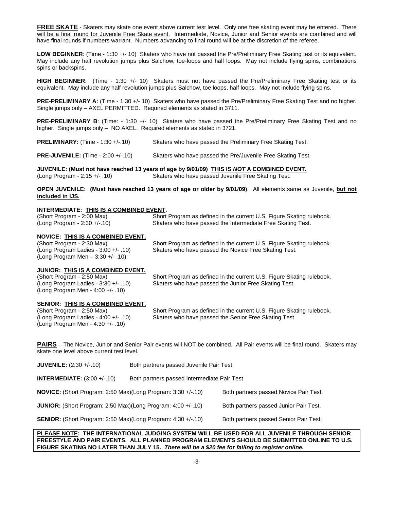**FREE SKATE** - Skaters may skate one event above current test level. Only one free skating event may be entered. There will be a final round for Juvenile Free Skate event. Intermediate, Novice, Junior and Senior events are combined and will have final rounds if numbers warrant. Numbers advancing to final round will be at the discretion of the referee.

**LOW BEGINNER**: (Time - 1:30 +/- 10) Skaters who have not passed the Pre/Preliminary Free Skating test or its equivalent. May include any half revolution jumps plus Salchow, toe-loops and half loops. May not include flying spins, combinations spins or backspins.

**HIGH BEGINNER**: (Time - 1:30 +/- 10) Skaters must not have passed the Pre/Preliminary Free Skating test or its equivalent. May include any half revolution jumps plus Salchow, toe loops, half loops. May not include flying spins.

**PRE-PRELIMINARY A:** (Time - 1:30 +/- 10) Skaters who have passed the Pre/Preliminary Free Skating Test and no higher. Single jumps only – AXEL PERMITTED. Required elements as stated in 3711.

**PRE-PRELIMINARY B**: (Time: - 1:30 +/- 10) Skaters who have passed the Pre/Preliminary Free Skating Test and no higher. Single jumps only – NO AXEL. Required elements as stated in 3721.

**PRELIMINARY:** (Time - 1:30 +/-.10) Skaters who have passed the Preliminary Free Skating Test.

**PRE-JUVENILE:** (Time - 2:00 +/-.10) Skaters who have passed the Pre/Juvenile Free Skating Test.

**JUVENILE: (Must not have reached 13 years of age by 9/01/09) THIS IS NOT A COMBINED EVENT.** (Long Program - 2:15 +/- .10) Skaters who have passed Juvenile Free Skating Test.

**OPEN JUVENILE: (Must have reached 13 years of age or older by 9/01/09)**. All elements same as Juvenile, **but not included in IJS.**

#### **INTERMEDIATE: THIS IS A COMBINED EVENT.**

| (Short Program - 2:00 Max)   | Short Program as defined in the current U.S. Figure Skating rulebook. |
|------------------------------|-----------------------------------------------------------------------|
| (Long Program - 2:30 +/-.10) | Skaters who have passed the Intermediate Free Skating Test.           |

#### **NOVICE: THIS IS A COMBINED EVENT.**

| (Short Program - 2:30 Max)              | Short Program as defined in the current U.S. Figure Skating rulebook. |
|-----------------------------------------|-----------------------------------------------------------------------|
| (Long Program Ladies - $3:00 +/- .10$ ) | Skaters who have passed the Novice Free Skating Test.                 |
| (Long Program Men $-3:30 +/- .10$ )     |                                                                       |
|                                         |                                                                       |

#### **JUNIOR: THIS IS A COMBINED EVENT.**

| (Short Program - 2:50 Max)              | Short Program as defined in the current U.S. Figure Skating rulebook. |
|-----------------------------------------|-----------------------------------------------------------------------|
| (Long Program Ladies - $3:30 +/- .10$ ) | Skaters who have passed the Junior Free Skating Test.                 |
| (Long Program Men - 4:00 +/- .10)       |                                                                       |

# **SENIOR: THIS IS A COMBINED EVENT.**<br>(Short Program - 2:50 Max)

Short Program as defined in the current U.S. Figure Skating rulebook. (Long Program Ladies - 4:00 +/- .10) Skaters who have passed the Senior Free Skating Test. (Long Program Men - 4:30 +/- .10)

**PAIRS** – The Novice, Junior and Senior Pair events will NOT be combined. All Pair events will be final round. Skaters may skate one level above current test level.

| <b>JUVENILE:</b> $(2:30 +/-10)$                                       | Both partners passed Juvenile Pair Test.     |                                        |
|-----------------------------------------------------------------------|----------------------------------------------|----------------------------------------|
| <b>INTERMEDIATE:</b> $(3:00 +/-10)$                                   | Both partners passed Intermediate Pair Test. |                                        |
| <b>NOVICE:</b> (Short Program: 2:50 Max)(Long Program: 3:30 +/-.10)   | Both partners passed Novice Pair Test.       |                                        |
| <b>JUNIOR:</b> (Short Program: 2:50 Max)(Long Program: 4:00 $+/-10$ ) |                                              | Both partners passed Junior Pair Test. |
| <b>SENIOR:</b> (Short Program: 2:50 Max)(Long Program: 4:30 +/-.10)   |                                              | Both partners passed Senior Pair Test. |

#### **PLEASE NOTE: THE INTERNATIONAL JUDGING SYSTEM WILL BE USED FOR ALL JUVENILE THROUGH SENIOR FREESTYLE AND PAIR EVENTS. ALL PLANNED PROGRAM ELEMENTS SHOULD BE SUBMITTED ONLINE TO U.S. FIGURE SKATING NO LATER THAN JULY 15. There will be a \$20 fee for failing to register online.**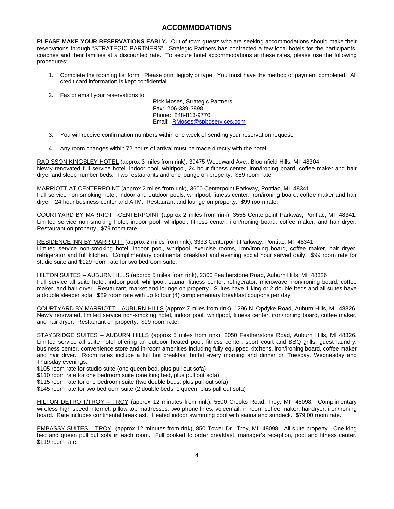### **ACCOMMODATIONS**

**PLEASE MAKE YOUR RESERVATIONS EARLY.** Out of town guests who are seeking accommodations should make their reservations through "STRATEGIC PARTNERS". Strategic Partners has contracted a few local hotels for the participants, coaches and their families at a discounted rate. To secure hotel accommodations at these rates, please use the following procedures:

- 1. Complete the rooming list form. Please print legibly or type. You must have the method of payment completed. All credit card information is kept confidential.
- 2. Fax or email your reservations to:

Rick Moses, Strategic Partners Fax: 206-339-3898 Phone: 248-813-9770 Email: RMoses@spbdservices.com

- 3. You will receive confirmation numbers within one week of sending your reservation request.
- 4. Any room changes within 72 hours of arrival must be made directly with the hotel.

RADISSON KINGSLEY HOTEL (approx 3 miles from rink), 39475 Woodward Ave., Bloomfield Hills, MI 48304 Newly renovated full service hotel, indoor pool, whirlpool, 24 hour fitness center, iron/ironing board, coffee maker and hair dryer and sleep number beds. Two restaurants and one lounge on property. \$89 room rate.

MARRIOTT AT CENTERPOINT (approx 2 miles from rink), 3600 Centerpoint Parkway, Pontiac, MI 48341 Full service non-smoking hotel, indoor and outdoor pools, whirlpool, fitness center, iron/ironing board, coffee maker and hair dryer. 24 hour business center and ATM. Restaurant and lounge on property. \$99 room rate.

COURTYARD BY MARRIOTT-CENTERPOINT (approx 2 miles from rink), 3555 Centerpoint Parkway, Pontiac, MI 48341. Limited service non-smoking hotel, indoor pool, whirlpool, fitness center, iron/ironing board, coffee maker, and hair dryer. Restaurant on property. \$79 room rate.

RESIDENCE INN BY MARRIOTT (approx 2 miles from rink), 3333 Centerpoint Parkway, Pontiac, MI 48341 Limited service non-smoking hotel, indoor pool, whirlpool, exercise rooms, iron/ironing board, coffee maker, hair dryer, refrigerator and full kitchen. Complimentary continental breakfast and evening social hour served daily. \$99 room rate for studio suite and \$129 room rate for two bedroom suite.

HILTON SUITES – AUBURN HILLS (approx 5 miles from rink), 2300 Featherstone Road, Auburn Hills, MI 48326 Full service all suite hotel, indoor pool, whirlpool, sauna, fitness center, refrigerator, microwave, iron/ironing board, coffee maker, and hair dryer. Restaurant, market and lounge on property. Suites have 1 king or 2 double beds and all suites have a double sleeper sofa. \$89 room rate with up to four (4) complementary breakfast coupons per day.

COURTYARD BY MARRIOTT – AUBURN HILLS (approx 7 miles from rink), 1296 N. Opdyke Road, Auburn Hills, MI 48326. Newly renovated, limited service non-smoking hotel, indoor pool, whirlpool, fitness center, iron/ironing board, coffee maker, and hair dryer. Restaurant on property. \$99 room rate.

STAYBRIDGE SUITES – AUBURN HILLS (approx 5 miles from rink), 2050 Featherstone Road, Auburn Hills, MI 48326. Limited service all suite hotel offering an outdoor heated pool, fitness center, sport court and BBQ grills, guest laundry, business center, convenience store and in-room amenities including fully equipped kitchens, iron/ironing board, coffee maker and hair dryer. Room rates include a full hot breakfast buffet every morning and dinner on Tuesday, Wednesday and Thursday evenings.

\$105 room rate for studio suite (one queen bed, plus pull out sofa)

\$110 room rate for one bedroom suite (one king bed, plus pull out sofa)

\$115 room rate for one bedroom suite (two double beds, plus pull out sofa)

\$145 room rate for two bedroom suite (2 double beds, 1 queen, plus pull out sofa)

HILTON DETROIT/TROY – TROY (approx 12 minutes from rink), 5500 Crooks Road, Troy, MI 48098. Complimentary wireless high speed internet, pillow top mattresses, two phone lines, voicemail, in room coffee maker, hairdryer, iron/ironing board. Rate includes continental breakfast. Heated indoor swimming pool with sauna and sundeck. \$79.00 room rate.

EMBASSY SUITES – TROY (approx 12 minutes from rink), 850 Tower Dr., Troy, MI 48098. All suite property. One king bed and queen pull out sofa in each room. Full cooked to order breakfast, manager's reception, pool and fitness center. \$119 room rate.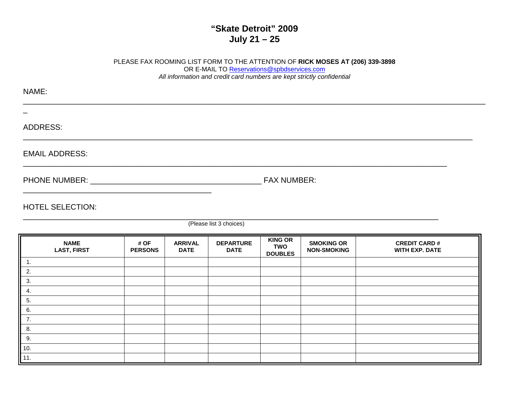# **"Skate Detroit" 2009 July 21 – 25**

# PLEASE FAX ROOMING LIST FORM TO THE ATTENTION OF **RICK MOSES AT (206) 339-3898**  OR E-MAIL TO Reservations@spbdservices.comAll information and credit card numbers are kept strictly confidential

| NAME:                                                                                                                                                                                                                          |                    |
|--------------------------------------------------------------------------------------------------------------------------------------------------------------------------------------------------------------------------------|--------------------|
|                                                                                                                                                                                                                                |                    |
| ADDRESS:                                                                                                                                                                                                                       |                    |
| <b>EMAIL ADDRESS:</b>                                                                                                                                                                                                          |                    |
| PHONE NUMBER: University of the University of the University of the University of the University of the University of the University of the University of the University of the University of the University of the University | <b>FAX NUMBER:</b> |

HOTEL SELECTION:<br>https://www.analysis.com/www.analysis.com/www.analysis.com/www.analysis.com/www.analysis.com/www.analysis.com/

(Please list 3 choices)

|                                                                                                                                                  | <b>NAME</b><br><b>LAST, FIRST</b> | # OF<br><b>PERSONS</b> | <b>ARRIVAL</b><br><b>DATE</b> | <b>DEPARTURE</b><br><b>DATE</b> | <b>KING OR</b><br><b>SMOKING OR</b><br><b>TWO</b><br><b>NON-SMOKING</b><br><b>DOUBLES</b> |  | <b>CREDIT CARD#</b><br><b>WITH EXP. DATE</b> |
|--------------------------------------------------------------------------------------------------------------------------------------------------|-----------------------------------|------------------------|-------------------------------|---------------------------------|-------------------------------------------------------------------------------------------|--|----------------------------------------------|
| ╟<br>-1.                                                                                                                                         |                                   |                        |                               |                                 |                                                                                           |  |                                              |
| 2.                                                                                                                                               |                                   |                        |                               |                                 |                                                                                           |  |                                              |
| $\blacksquare$<br>3.                                                                                                                             |                                   |                        |                               |                                 |                                                                                           |  |                                              |
| 4.                                                                                                                                               |                                   |                        |                               |                                 |                                                                                           |  |                                              |
| 5.                                                                                                                                               |                                   |                        |                               |                                 |                                                                                           |  |                                              |
| 6.                                                                                                                                               |                                   |                        |                               |                                 |                                                                                           |  |                                              |
|                                                                                                                                                  |                                   |                        |                               |                                 |                                                                                           |  |                                              |
|                                                                                                                                                  |                                   |                        |                               |                                 |                                                                                           |  |                                              |
|                                                                                                                                                  |                                   |                        |                               |                                 |                                                                                           |  |                                              |
|                                                                                                                                                  |                                   |                        |                               |                                 |                                                                                           |  |                                              |
| $\begin{array}{ c c }\n\hline\n\text{7.} & \text{8.} \\ \hline\n\text{8.} & \text{9.} \\ \hline\n\text{10.} & \text{11.} \\ \hline\n\end{array}$ |                                   |                        |                               |                                 |                                                                                           |  |                                              |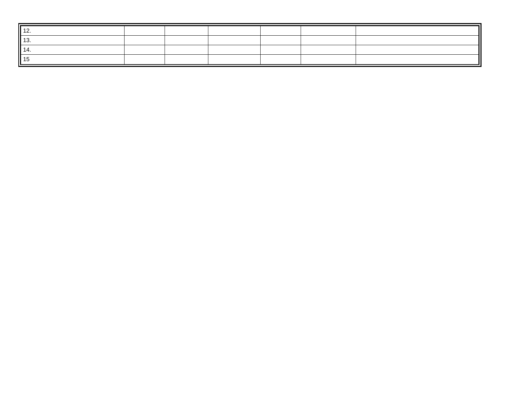| 'I 1∠.        |  |  |  |
|---------------|--|--|--|
| <b>II</b> 13. |  |  |  |
| II 1.         |  |  |  |
| II 1!         |  |  |  |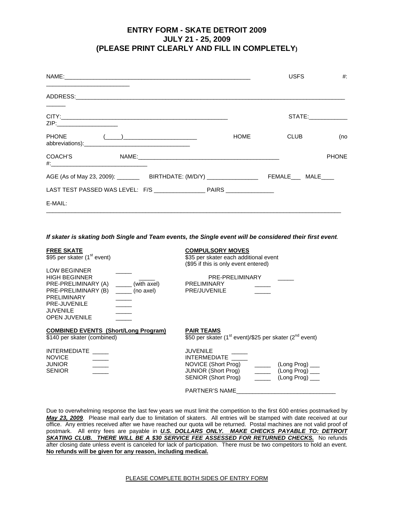## **ENTRY FORM - SKATE DETROIT 2009 JULY 21 - 25, 2009 (PLEASE PRINT CLEARLY AND FILL IN COMPLETELY)**

| <u> 1989 - Andrea Stein, Amerikaansk politiker (</u>                                                           |                                                                                                                                                                                                                                                                                                                                                                 |      | <b>USFS</b> | $#$ :               |
|----------------------------------------------------------------------------------------------------------------|-----------------------------------------------------------------------------------------------------------------------------------------------------------------------------------------------------------------------------------------------------------------------------------------------------------------------------------------------------------------|------|-------------|---------------------|
|                                                                                                                |                                                                                                                                                                                                                                                                                                                                                                 |      |             |                     |
| ZIP:__________________________                                                                                 |                                                                                                                                                                                                                                                                                                                                                                 |      |             | STATE:_____________ |
| <b>PHONE</b>                                                                                                   | $\begin{pmatrix} 1 & 1 & 1 \\ 1 & 1 & 1 \end{pmatrix}$ , where $\begin{pmatrix} 1 & 1 & 1 \\ 1 & 1 & 1 \end{pmatrix}$ , where $\begin{pmatrix} 1 & 1 & 1 \\ 1 & 1 & 1 \end{pmatrix}$ , where $\begin{pmatrix} 1 & 1 & 1 \\ 1 & 1 & 1 \end{pmatrix}$ , where $\begin{pmatrix} 1 & 1 & 1 \\ 1 & 1 & 1 \end{pmatrix}$ , where $\begin{pmatrix} 1 & 1 & 1 \\ 1 & 1$ | HOME | CLUB        | (no                 |
| COACH'S DESCRIPTION OF THE STATE OF THE STATE OF THE STATE OF THE STATE OF THE STATE OF THE STATE OF THE STATE |                                                                                                                                                                                                                                                                                                                                                                 |      |             | <b>PHONE</b>        |
|                                                                                                                | AGE (As of May 23, 2009): ____________BIRTHDATE: (M/D/Y) _____________________________FEMALE______MALE_____                                                                                                                                                                                                                                                     |      |             |                     |
|                                                                                                                |                                                                                                                                                                                                                                                                                                                                                                 |      |             |                     |
| E-MAIL:                                                                                                        |                                                                                                                                                                                                                                                                                                                                                                 |      |             |                     |

**If skater is skating both Single and Team events, the Single event will be considered their first event**.

| <b>FREE SKATE</b><br>\$95 per skater (1 <sup>st</sup> event)<br><b>LOW BEGINNER</b><br><b>HIGH BEGINNER</b><br>PRE-PRELIMINARY (A)<br>(with axel)<br>PRE-PRELIMINARY (B)<br>(no axel)<br>PRELIMINARY<br>PRE-JUVENILE<br><b>JUVENILE</b><br><b>OPEN JUVENILE</b> | <b>COMPULSORY MOVES</b><br>\$35 per skater each additional event<br>(\$95 if this is only event entered)<br>PRE-PRELIMINARY<br><b>PRELIMINARY</b><br>PRE/JUVENILE                                                                                  |
|-----------------------------------------------------------------------------------------------------------------------------------------------------------------------------------------------------------------------------------------------------------------|----------------------------------------------------------------------------------------------------------------------------------------------------------------------------------------------------------------------------------------------------|
| <b>COMBINED EVENTS (Short/Long Program)</b><br>\$140 per skater (combined)                                                                                                                                                                                      | <b>PAIR TEAMS</b><br>\$50 per skater (1 <sup>st</sup> event)/\$25 per skater (2 <sup>nd</sup> event)                                                                                                                                               |
| <b>INTERMEDIATE</b><br><b>NOVICE</b><br><b>JUNIOR</b><br><b>SENIOR</b>                                                                                                                                                                                          | <b>JUVENILE</b><br><b>INTERMEDIATE</b><br>NOVICE (Short Prog)<br>(Long Prog) ____<br>JUNIOR (Short Prog)<br>$\frac{1}{\sqrt{1-\frac{1}{2}}}\$ (Long Prog) $\frac{1}{\sqrt{1-\frac{1}{2}}}\$<br>SENIOR (Short Prog)<br>$(Long Prog)$ <sub>___</sub> |
|                                                                                                                                                                                                                                                                 | <b>PARTNER'S NAME</b>                                                                                                                                                                                                                              |

Due to overwhelming response the last few years we must limit the competition to the first 600 entries postmarked by **May 23, 2009**. Please mail early due to limitation of skaters. All entries will be stamped with date received at our office. Any entries received after we have reached our quota will be returned. Postal machines are not valid proof of postmark. All entry fees are payable in **U.S. DOLLARS ONLY. MAKE CHECKS PAYABLE TO: DETROIT SKATING CLUB. THERE WILL BE A \$30 SERVICE FEE ASSESSED FOR RETURNED CHECKS.** No refunds after closing date unless event is canceled for lack of participation. There must be two competitors to hold an event. **No refunds will be given for any reason, including medical.**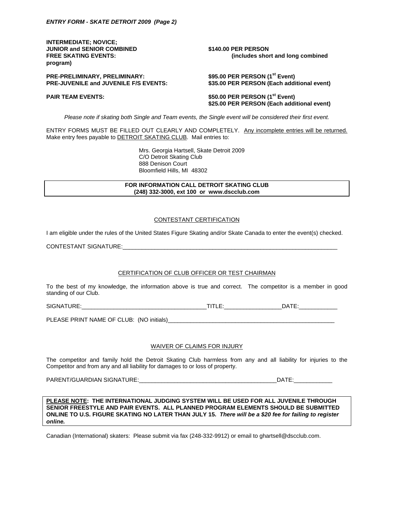**INTERMEDIATE; NOVICE; JUNIOR and SENIOR COMBINED 5140.00 PER PERSON program)** 

**FREE SKATING EVENTS: (includes short and long combined** 

**PRE-PRELIMINARY, PRELIMINARY: PRE-JUVENILE and JUVENILE F/S EVENTS: \$35.00 PER PERSON (Each additional event)** 

\$95.00 PER PERSON (1<sup>st</sup> Event)

PAIR TEAM EVENTS:  $$50.00$  PER PERSON (1<sup>st</sup> Event)

 **\$25.00 PER PERSON (Each additional event)** 

Please note if skating both Single and Team events, the Single event will be considered their first event.

ENTRY FORMS MUST BE FILLED OUT CLEARLY AND COMPLETELY. Any incomplete entries will be returned. Make entry fees payable to DETROIT SKATING CLUB. Mail entries to:

> Mrs. Georgia Hartsell, Skate Detroit 2009 C/O Detroit Skating Club 888 Denison Court Bloomfield Hills, MI 48302

**FOR INFORMATION CALL DETROIT SKATING CLUB (248) 332-3000, ext 100 or www.dscclub.com** 

#### CONTESTANT CERTIFICATION

I am eligible under the rules of the United States Figure Skating and/or Skate Canada to enter the event(s) checked.

CONTESTANT SIGNATURE:\_\_\_\_\_\_\_\_\_\_\_\_\_\_\_\_\_\_\_\_\_\_\_\_\_\_\_\_\_\_\_\_\_\_\_\_\_\_\_\_\_\_\_\_\_\_\_\_\_\_\_\_\_\_\_\_\_\_\_\_\_\_\_\_\_\_\_

#### CERTIFICATION OF CLUB OFFICER OR TEST CHAIRMAN

To the best of my knowledge, the information above is true and correct. The competitor is a member in good standing of our Club.

SIGNATURE:\_\_\_\_\_\_\_\_\_\_\_\_\_\_\_\_\_\_\_\_\_\_\_\_\_\_\_\_\_\_\_\_\_\_\_\_\_\_\_TITLE:\_\_\_\_\_\_\_\_\_\_\_\_\_\_\_\_\_\_DATE:\_\_\_\_\_\_\_\_\_\_\_\_

PLEASE PRINT NAME OF CLUB: (NO initials)\_\_\_\_\_\_\_\_\_\_\_\_\_\_\_\_\_\_\_\_\_\_\_\_\_\_\_\_\_\_\_\_\_\_\_\_\_\_\_\_\_\_\_\_\_\_\_\_\_\_\_\_

#### WAIVER OF CLAIMS FOR INJURY

The competitor and family hold the Detroit Skating Club harmless from any and all liability for injuries to the Competitor and from any and all liability for damages to or loss of property.

PARENT/GUARDIAN SIGNATURE:\_\_\_\_\_\_\_\_\_\_\_\_\_\_\_\_\_\_\_\_\_\_\_\_\_\_\_\_\_\_\_\_\_\_\_\_\_\_\_\_\_\_\_DATE:\_\_\_\_\_\_\_\_\_\_\_\_

**PLEASE NOTE: THE INTERNATIONAL JUDGING SYSTEM WILL BE USED FOR ALL JUVENILE THROUGH SENIOR FREESTYLE AND PAIR EVENTS. ALL PLANNED PROGRAM ELEMENTS SHOULD BE SUBMITTED ONLINE TO U.S. FIGURE SKATING NO LATER THAN JULY 15. There will be a \$20 fee for failing to register online.** 

Canadian (International) skaters: Please submit via fax (248-332-9912) or email to ghartsell@dscclub.com.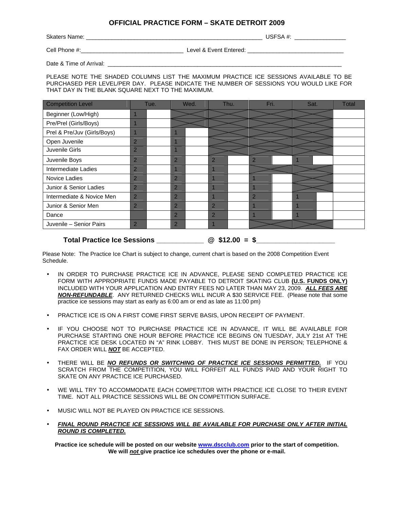## **OFFICIAL PRACTICE FORM – SKATE DETROIT 2009**

Skaters Name: \_\_\_\_\_\_\_\_\_\_\_\_\_\_\_\_\_\_\_\_\_\_\_\_\_\_\_\_\_\_\_\_\_\_\_\_\_\_\_\_\_\_\_\_\_\_\_\_\_\_\_\_\_\_\_ USFSA #: \_\_\_\_\_\_\_\_\_\_\_\_\_\_\_\_

Cell Phone #:\_\_\_\_\_\_\_\_\_\_\_\_\_\_\_\_\_\_\_\_\_\_\_\_\_\_\_\_\_\_\_\_ Level & Event Entered: \_\_\_\_\_\_\_\_\_\_\_\_\_\_\_\_\_\_\_\_\_\_\_\_\_\_\_\_\_\_

Date & Time of Arrival:

PLEASE NOTE THE SHADED COLUMNS LIST THE MAXIMUM PRACTICE ICE SESSIONS AVAILABLE TO BE PURCHASED PER LEVEL/PER DAY. PLEASE INDICATE THE NUMBER OF SESSIONS YOU WOULD LIKE FOR THAT DAY IN THE BLANK SQUARE NEXT TO THE MAXIMUM.

| <b>Competition Level</b>    |                | Tue. |                | Wed. |                | Thu. | Fri.           | Sat. | <b>Total</b> |
|-----------------------------|----------------|------|----------------|------|----------------|------|----------------|------|--------------|
| Beginner (Low/High)         |                |      |                |      |                |      |                |      |              |
| Pre/Prel (Girls/Boys)       |                |      |                |      |                |      |                |      |              |
| Prel & Pre/Juv (Girls/Boys) |                |      |                |      |                |      |                |      |              |
| Open Juvenile               | $\overline{2}$ |      |                |      |                |      |                |      |              |
| Juvenile Girls              | $\overline{2}$ |      |                |      |                |      |                |      |              |
| Juvenile Boys               | $\overline{2}$ |      | $\overline{2}$ |      | $\overline{2}$ |      | 2              |      |              |
| <b>Intermediate Ladies</b>  | $\overline{2}$ |      |                |      |                |      |                |      |              |
| Novice Ladies               | $\overline{2}$ |      | $\overline{2}$ |      |                |      |                |      |              |
| Junior & Senior Ladies      | $\overline{2}$ |      | $\overline{2}$ |      |                |      |                |      |              |
| Intermediate & Novice Men   | $\overline{2}$ |      | $\overline{2}$ |      |                |      | $\overline{2}$ |      |              |
| Junior & Senior Men         | $\overline{2}$ |      | $\overline{2}$ |      | $\overline{2}$ |      |                |      |              |
| Dance                       |                |      | $\overline{2}$ |      | $\overline{2}$ |      |                |      |              |
| Juvenile - Senior Pairs     | $\overline{2}$ |      | $\overline{2}$ |      |                |      |                |      |              |
|                             |                |      |                |      |                |      |                |      |              |

Total Practice Ice Sessions \_\_\_\_\_\_\_\_\_\_\_\_\_ @ \$12.00 = \$\_\_\_\_\_\_\_\_\_\_\_\_

Please Note: The Practice Ice Chart is subject to change, current chart is based on the 2008 Competition Event Schedule.

- IN ORDER TO PURCHASE PRACTICE ICE IN ADVANCE, PLEASE SEND COMPLETED PRACTICE ICE FORM WITH APPROPRIATE FUNDS MADE PAYABLE TO DETROIT SKATING CLUB **(U.S. FUNDS ONLY)** INCLUDED WITH YOUR APPLICATION AND ENTRY FEES NO LATER THAN MAY 23, 2009. **ALL FEES ARE NON-REFUNDABLE**. ANY RETURNED CHECKS WILL INCUR A \$30 SERVICE FEE. (Please note that some practice ice sessions may start as early as 6:00 am or end as late as 11:00 pm)
- PRACTICE ICE IS ON A FIRST COME FIRST SERVE BASIS, UPON RECEIPT OF PAYMENT.
- IF YOU CHOOSE NOT TO PURCHASE PRACTICE ICE IN ADVANCE, IT WILL BE AVAILABLE FOR PURCHASE STARTING ONE HOUR BEFORE PRACTICE ICE BEGINS ON TUESDAY, JULY 21st AT THE PRACTICE ICE DESK LOCATED IN "A" RINK LOBBY. THIS MUST BE DONE IN PERSON; TELEPHONE & FAX ORDER WILL **NOT** BE ACCEPTED.
- THERE WILL BE **NO REFUNDS OR SWITCHING OF PRACTICE ICE SESSIONS PERMITTED.** IF YOU SCRATCH FROM THE COMPETITION, YOU WILL FORFEIT ALL FUNDS PAID AND YOUR RIGHT TO SKATE ON ANY PRACTICE ICE PURCHASED.
- WE WILL TRY TO ACCOMMODATE EACH COMPETITOR WITH PRACTICE ICE CLOSE TO THEIR EVENT TIME. NOT ALL PRACTICE SESSIONS WILL BE ON COMPETITION SURFACE.
- MUSIC WILL NOT BE PLAYED ON PRACTICE ICE SESSIONS.
- **FINAL ROUND PRACTICE ICE SESSIONS WILL BE AVAILABLE FOR PURCHASE ONLY AFTER INITIAL ROUND IS COMPLETED.**

**Practice ice schedule will be posted on our website www.dscclub.com prior to the start of competition. We will not give practice ice schedules over the phone or e-mail.**